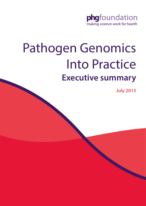

# Pathogen Genomics Into Practice **Executive summary**

**July 2015**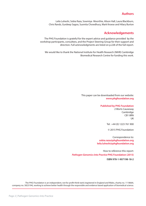# **Authors**

Leila Luheshi, Sobia Raza, Sowmiya Moorthie, Alison Hall, Laura Blackburn, Chris Rands, Gurdeep Sagoo, Susmita Chowdhury, Mark Kroese and Hilary Burton

# **Acknowledgements**

 The PHG Foundation is grateful for the expert advice and guidance provided by the workshop participants, consultees, and the Project Steering Group for their support and direction. Full acknowledgments are listed on p.228 of the full report.

We would like to thank the National Institute for Health Research (NIHR) Cambridge Biomedical Research Centre for funding this work.

> This paper can be downloaded from our website: **[www.phgfoundation.org](http://www.phgfoundation.org/)**

#### **Published by PHG Foundation**

2 Worts Causeway Cambridge CB1 8RN UK

Tel: +44 (0) 1223 761 900

© 2015 PHG Foundation

Correspondence to: **[sobia.raza@phgfoundation.org](http://www.phgfoundation.org/people/sobia_raza) [leila.luheshi@phgfoundation.org](http://www.phgfoundation.org/people/leila_luheshi)**

How to reference this report: *Pathogen Genomics Into Practice* **PHG Foundation (2015)**

**ISBN 978-1-907198-18-2**

The PHG Foundation is an independent, not for profit think-tank (registered in England and Wales, charity no. 1118664, company no. 5823194), working to achieve better health through the responsible and evidence based application of biomedical science.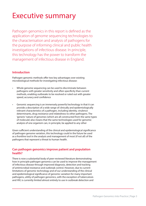# Executive summary

Pathogen genomics in this report is defined as the application of genome sequencing technologies to the characterisation and analysis of pathogens for the purpose of informing clinical and public health investigations of infectious disease. In principle, this technology has the power to transform the management of infectious disease in England.

# **Introduction**

Pathogen genomic methods offer two key advantages over existing microbiological methods for investigating infectious disease:

- Whole genome sequencing can be used to discriminate between pathogens with greater sensitivity and often specificity than current methods, enabling outbreaks to be resolved or ruled out with greater speed, accuracy and confidence
- Genomic sequencing is an immensely powerful technology in that it can provide a description of a wide range of clinically and epidemiologically relevant characteristics of a pathogen, including identity, virulence determinants, drug resistance and relatedness to other pathogens. The 'generic' nature of genomes (which are all constructed from the same types of molecule) also means that the same technologies used for genomic analysis of one organism can, in principle, be applied to any other

Given sufficient understanding of the clinical and epidemiological significance of pathogen genome variation, this technology could in the future be used as a frontline tool in the analysis and management of most (if not all) of the pathogens that represent a threat to human health.

# **Can pathogen genomics improve patient and population health?**

There is now a substantial body of peer-reviewed literature demonstrating how in principle pathogen genomics can be used to improve the management of infectious disease through improved diagnosis, detection and tracking of antimicrobial resistance and outbreak control. However, due to current limitations of genomic technology and of our understanding of the clinical and epidemiological significance of genomic variation for many important pathogens, utility of pathogen genomics, with the exception of tuberculosis and HIV, is currently limited almost entirely to use in outbreak detection and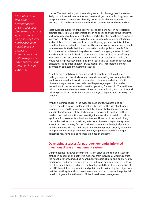*If the rate-limiting step in the performance of existing infectious disease management systems arises from care pathway factors outside of current microbiological practice ... implementation of pathogen genomics may have little or no impact on health outcomes.*

control. The vast majority of current diagnostic microbiology practice seems likely to continue in its current form at least until genomic technology improves to a point where it can deliver clinically useful results that compete with existing traditional microbiology methods on both turnaround time and cost.

Most evidence supporting the utility of pathogen genomics in microbiology practice centres around demonstrations of its ability to enhance the sensitivity and specificity of outbreak investigations, particularly for healthcare-associated infections (HCAIs) such as MRSA but also for community-acquired infections such as tuberculosis. However, from a health policy perspective it is vital to note that these investigations have mostly been retrospective and were unable to measure objectively their impact on patient and population health. This limits their value in determining whether use of pathogen genomics in real world clinical and public health settings would have resulted in significantly improved health outcomes for either individuals or populations. To do this would require prospective trials designed specifically to test the effectiveness of healthcare and public health service models that incorporate genomic information compared to existing practices.

As yet no such trials have been published, although several small scale, pathogen-specific pilot studies are now underway in England. Analysis of the results of such evaluations will be essential to determine whether infectious disease management services, informed by pathogen genomics, can be realised within our current health service operating frameworks. They will also help to determine whether the costs involved in establishing such services and tailoring clinical and public healthcare pathways to exploit them outweigh the benefits.

With this significant gap in the evidence base of effectiveness and cost effectiveness to support implementation, the case for the use of pathogen genomics relies on the assumption that the demonstrable improvements in analytical performance of this technology **–** compared to existing methods used for outbreak detection and investigation **–** are almost certain to deliver significant improvements in health outcomes. However, if the rate-limiting step in the performance of existing infectious disease management systems arises from care pathway factors outside of current microbiological practice, or if the major needs arise in diseases where testing is not currently amenable to improvement through genomic analysis, implementation of pathogen genomics may have little or no impact on health outcomes.

### **Developing a successful pathogen genomics informed infectious disease management system**

Our project has reviewed the current state of science and clinical practice in pathogen genomics and gathered evidence from individuals working across the health economy, including health policy makers, clinical and public health practitioners and academic researchers developing genomic analysis tools. We have leveraged their expertise, in combination with the in-house expertise of the PHG Foundation in genomics and public health, to identify two objectives that the health system should seek to achieve in order to realise the potential benefits of genomics in the field of infectious disease management.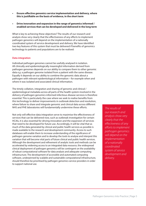- **• Ensure effective genomics service implementation and delivery, where this is justifiable on the basis of evidence, in the short term**
- **• Drive innovation and expansion in the range of genomics informed / enabled services that can be developed and delivered in the long term**

What is key to achieving these objectives? The results of our research and analysis show very clearly that the effectiveness of any efforts to implement pathogen genomics will depend on the implementation of a nationally coordinated system of service development and delivery. We have identified two key features of this system that must be delivered if benefits of genomics technology to patients and populations are to be realised:

#### **Data integration**

Individual pathogen genomes cannot be usefully analysed in isolation. All clinically and epidemiologically meaningful information derived from pathogen genomes depends on our ability to compare them to other genomic data *e.g.* a pathogen genome isolated from a patient with the same disease. Equally it depends on our ability to combine the genomic data about a pathogen with relevant epidemiological information **–** for example when and where it was isolated and associated clinical information.

The timely collation, integration and sharing of genomic and clinical / epidemiological metadata across all parts of the health system involved in the delivery of pathogen genomics informed infectious disease services is therefore essential. This is particularly the case where we seek to realise benefits from this technology to deliver improvements in outbreak detection and resolution, where failure to share and integrate genomic and clinical data across different NHS and PHE laboratories will fundamentally undermine these efforts.

Not only will effective data integration serve to maximise the effectiveness of services that can be delivered now, such as outbreak investigation for certain HCAIs, it is also essential for driving innovation and the expansion of services that need to be developed for future use. Accordingly, it will be vital that as much of the data generated by clinical and public health services as possible is made available to the research and development community. Access to such databases will enable them to increase understanding of the significance of pathogen genome variation and to develop the tools to analyse and interpret this variation that will become vital parts of future clinical and public health services. Although the development and refinement of analytic tools and methods can be accelerated by widening access to an integrated data resource, the widespread clinical deployment of pathogen genomics will be contingent on the availability of robust computational software for data analysis and adequate computing infrastructure. The development of accessible and automated computing software, underpinned by scalable and sustainable computational infrastructure, should therefore be prioritised by pathogen genomics service providers in order to support national use.

*The results of our research and analysis show very clearly that the effectiveness of any efforts to implement pathogen genomics will depend on the implementation of a nationally coordinated system of service development and delivery.*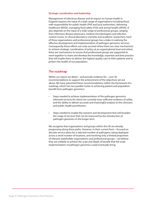#### **Strategic coordination and leadership**

Management of infectious disease and its impact on human health in England requires the input of a wide range of organisations including those with responsibility for public health (PHE and local authorities), delivering healthcare (NHSE), managing food safety (FSA) and animal health (APHA). It also depends on the input of a wide range of professional groups, ranging from infectious disease physicians, medical microbiologists and infection control nurses, to clinical laboratory scientists and academic researchers. Each of these organisations and professional groups has a stake in realising the effective development and implementation of pathogen genomics services. Consequently these efforts can only succeed where there are clear mechanisms to achieve strategic coordination of policy at an organisational level and where there are mechanisms to ensure that professional groups are supported to work together to share and develop the knowledge, expertise and best practice that will enable them to deliver the highest quality care to their patients and to protect the health of our population.

### **The roadmap**

Within our report we detail **–** and provide evidence for **–** over 30 recommendations to support the achievement of the objectives set out above. We have presented these recommendations within the framework of a roadmap, which has two parallel routes to achieving patient and population benefit from pathogen genomics:

- Steps needed to achieve implementation of the pathogen genomics informed services for which we currently have sufficient evidence of utility, and the ability to deliver accurate and meaningful analysis to the clinicians and public health practitioners
- Steps needed to enable the research and development that will broaden the range of services that can be improved by the introduction of pathogen genomics in the longer term

We recognise that organisations and groups within the UK are already progressing along these paths. However, in their current form **–** focused on discrete service pilots for a selected number of pathogens, being deployed across a small number of locations, and involving only a limited proportion of relevant stakeholder organisations and professional groups **–** we believe they are unlikely to achieve the scale and depth of benefit that full-scale implementation of pathogen genomics could eventually bring.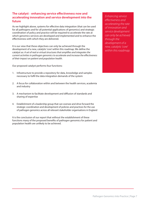# **The catalyst – enhancing service effectiveness now and accelerating innovation and service development into the future**

As we highlight above, systems for effective data integration (that can be used for all pathogens and for all potential applications of genomics) and strategic coordination of policy and practice will be required to accelerate the rate at which genomics services are developed and implemented and to enhance the effectiveness with which they are delivered.

It is our view that these objectives can only be achieved through the development of a new, catalytic 'core' within this roadmap. We define the catalyst as: *A set of real or virtual structures that amplifies and integrates the current activities in pathogen genomics to accelerate and increase the effectiveness of their impact on patient and population health.*

Our proposed catalyst performs four functions:

- 1. Infrastructure to provide a repository for data, knowledge and samples necessary to fulfil the data integration demands of the system
- 2. A focus for collaboration within and between the health services, academia and industry
- 3. A mechanism to facilitate development and diffusion of standards and sharing of expertise
- 4. Establishment of a leadership group that can oversee and drive forward the strategic coordination and development of policies and practices for the use of pathogen genomics across all relevant stakeholder organisations in England

It is the conclusion of our report that without the establishment of these functions many of the proposed benefits of pathogen genomics for patient and population health are unlikely to be achieved.

*Enhancing service effectiveness and accelerating the rate of innovation and service development can only be achieved through the development of a new, catalytic 'core' within this roadmap.*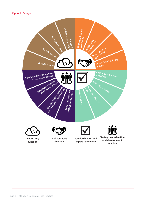

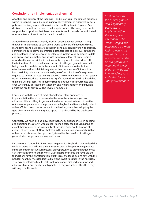# **Conclusions – an implementation dilemma?**

Adoption and delivery of the roadmap **–** and in particular the catalyst proposed within this report **–** would require significant investment of resources by both policy and delivery organisations within the health system in England. Any decision to commit such resources will require sufficiently strong evidence to support the proposition that these investments would provide the anticipated returns in terms of health and economic benefits.

As noted earlier, there is currently a lack of direct evidence demonstrating that when implemented as part of real world pathways of infectious disease management and patient care, pathogen genomics can deliver on its promise. Furthermore, current implementation pilots, targeted at individual pathogens and developed in the absence of an integrated system-wide approach to data and knowledge integration and service delivery, are low risk but of limited reward as they are restricted in their capacity to generate this evidence. This limitation stems from the value and impact of pathogen genomic information being directly correlated with the amount of information available, the effectiveness with which it is integrated with other sources of information, its accessibility to innovators and the degree of coordination of the systems required to deliver services that rely upon it. The current absence of the systems necessary to meet these requirements significantly reduces the likelihood that the pilots will be successful in demonstrating positive health outcomes, and even where they do, their generalisability and wider adoption and diffusion across the health service will be severely hampered.

Continuing with the current gradual and fragmentary approach to implementation therefore poses a risk that must be acknowledged and addressed: it is less likely to generate the desired impact in terms of positive outcomes for patients and the population in England and is more likely to lead to less efficient use of resources within the health system than adopting the type of system-wide and integrated approach embodied by the catalyst we propose.

Conversely, we must also acknowledge that any decision to invest in building and operating the catalyst would entail taking a calculated risk, requiring its establishment prior to the availability of sufficient evidence to support all aspects of development. Nevertheless, it is the conclusion of our analysis that unless this risk is taken, the opportunity to realise the benefits of pathogen genomics for our population may well be lost.

Furthermore, if through its investment in genomics, England aspires to lead the world in precision medicine, then it must recognise that pathogen genomics, if implemented effectively, represents an opportunity to prove that genomics can truly 'transform' health services. UK scientists and clinicians have laid the foundations for this transformation, but the real challenge begins now with the need for health services leaders to direct and invest to establish the necessary systems and infrastructure to make pathogen genomics part of routine and effective clinical and public health practice. If they can achieve this, then they will truly lead the world.

*Continuing with the current gradual and fragmentary approach to implementation therefore poses a risk that must be acknowledged and addressed ...it is more likely to lead to the less efficient use of resources within the health system than adopting the type of system-wide and integrated approach embodied by the catalyst we propose.*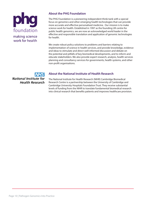# foundation making science work for health

# **About the PHG Foundation**

The PHG Foundation is a pioneering independent think-tank with a special focus on genomics and other emerging health technologies that can provide more accurate and effective personalised medicine. Our mission is to make science work for health. Established in 1997 as the founding UK centre for public health genomics, we are now an acknowledged world leader in the effective and responsible translation and application of genomic technologies for health.

We create robust policy solutions to problems and barriers relating to implementation of science in health services, and provide knowledge, evidence and ideas to stimulate and direct well-informed discussion and debate on the potential and pitfalls of key biomedical developments, and to inform and educate stakeholders. We also provide expert research, analysis, health services planning and consultancy services for governments, health systems, and other non-profit organisations.

**National Institute for Health Research** 

# **About the National Institute of Health Research**

The National Institute for Health Research (NIHR) Cambridge Biomedical Research Centre is a partnership between the University of Cambridge and Cambridge University Hospitals Foundation Trust. They receive substantial levels of funding from the NIHR to translate fundamental biomedical research into clinical research that benefits patients and improves healthcare provision.